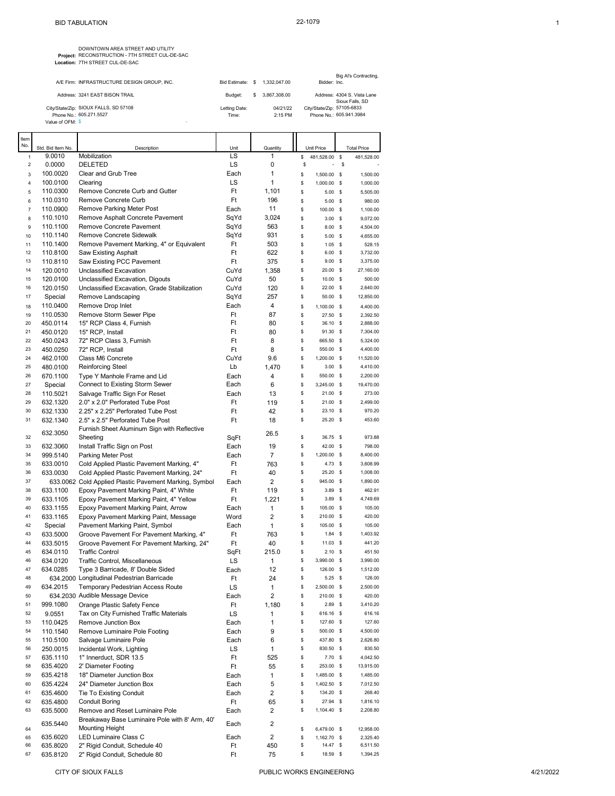**Project:** DOWNTOWN AREA STREET AND UTILITY RECONSTRUCTION - 7TH STREET CUL-DE-SAC **Location:** 7TH STREET CUL-DE-SAC

|                  | A/F Firm: INFRASTRUCTURE DESIGN GROUP. INC. | Bid Estimate: | -S  | 1.332.047.00 | Bidder: Inc.               | Big Al's Contracting,                          |
|------------------|---------------------------------------------|---------------|-----|--------------|----------------------------|------------------------------------------------|
|                  | Address: 3241 EAST BISON TRAIL              | Budget:       | \$. | 3.867.308.00 |                            | Address: 4304 S. Vista Lane<br>Sioux Falls, SD |
|                  | City/State/Zip: SIOUX FALLS, SD 57108       | Letting Date: |     | 04/21/22     | City/State/Zip: 57105-6833 |                                                |
|                  | Phone No.: 605.271.5527                     | Time:         |     | $2:15$ PM    |                            | Phone No.: 605.941.3984                        |
| Value of OFM: \$ |                                             |               |     |              |                            |                                                |

| Item             |                   |                                                        |      |                |                   |              |                    |
|------------------|-------------------|--------------------------------------------------------|------|----------------|-------------------|--------------|--------------------|
| No.              | Std. Bid Item No. | Description                                            | Unit | Quantity       | <b>Unit Price</b> |              | <b>Total Price</b> |
| 1                | 9.0010            | Mobilization                                           | LS   | 1              | \$<br>481,528.00  | \$           | 481,528.00         |
| $\boldsymbol{2}$ | 0.0000            | DELETED                                                | LS   | 0              | \$<br>÷,          | \$           |                    |
| 3                | 100.0020          | Clear and Grub Tree                                    | Each | 1              | \$<br>1,500.00    | - \$         | 1,500.00           |
| 4                | 100.0100          | Clearing                                               | LS   | 1              | \$<br>1,000.00    | - \$         | 1,000.00           |
| 5                | 110.0300          | Remove Concrete Curb and Gutter                        | Ft   | 1,101          | \$<br>5.00        | $\mathbf s$  | 5,505.00           |
| 6                | 110.0310          | Remove Concrete Curb                                   | Ft   | 196            | \$<br>5.00        | $\mathbf{s}$ | 980.00             |
| 7                | 110.0900          | Remove Parking Meter Post                              | Each | 11             | \$<br>100.00      | $\mathbf{s}$ | 1,100.00           |
| 8                | 110.1010          | Remove Asphalt Concrete Pavement                       | SqYd | 3,024          | \$<br>$3.00\%$    |              | 9,072.00           |
| 9                | 110.1100          | Remove Concrete Pavement                               | SqYd | 563            | $8.00\%$          |              | 4,504.00           |
|                  |                   |                                                        |      |                | \$                |              |                    |
| 10               | 110.1140          | Remove Concrete Sidewalk                               | SqYd | 931            | \$<br>$5.00$ \$   |              | 4,655.00           |
| 11               | 110.1400          | Remove Pavement Marking, 4" or Equivalent              | Ft   | 503            | \$<br>$1.05$ \$   |              | 528.15             |
| 12               | 110.8100          | <b>Saw Existing Asphalt</b>                            | Ft   | 622            | \$<br>$6.00\%$    |              | 3,732.00           |
| 13               | 110.8110          | Saw Existing PCC Pavement                              | Ft   | 375            | \$<br>$9.00\%$    |              | 3,375.00           |
| 14               | 120.0010          | Unclassified Excavation                                | CuYd | 1,358          | \$<br>20.00 \$    |              | 27,160.00          |
| 15               | 120.0100          | Unclassified Excavation, Digouts                       | CuYd | 50             | \$<br>10.00 \$    |              | 500.00             |
| 16               | 120.0150          | Unclassified Excavation, Grade Stabilization           | CuYd | 120            | \$<br>22.00 \$    |              | 2,640.00           |
| 17               | Special           | Remove Landscaping                                     | SqYd | 257            | \$<br>50.00 \$    |              | 12,850.00          |
| 18               | 110.0400          | Remove Drop Inlet                                      | Each | 4              | \$<br>1,100.00 \$ |              | 4,400.00           |
| 19               | 110.0530          | Remove Storm Sewer Pipe                                | Ft   | 87             | \$<br>27.50 \$    |              | 2,392.50           |
| 20               | 450.0114          | 15" RCP Class 4, Furnish                               | Ft   | 80             | \$<br>36.10 \$    |              | 2,888.00           |
| 21               | 450.0120          | 15" RCP, Install                                       | Ft   | 80             | \$<br>91.30       | - \$         | 7,304.00           |
| 22               | 450.0243          | 72" RCP Class 3, Furnish                               | Ft   | 8              | \$<br>665.50 \$   |              | 5,324.00           |
| 23               | 450.0250          | 72" RCP, Install                                       | Ft   | 8              | \$<br>550.00 \$   |              | 4,400.00           |
| 24               | 462.0100          | Class M6 Concrete                                      | CuYd | 9.6            | \$<br>1,200.00 \$ |              | 11,520.00          |
| 25               |                   |                                                        | Lb   |                | \$<br>$3.00$ \$   |              | 4,410.00           |
|                  | 480.0100          | Reinforcing Steel                                      |      | 1,470          |                   |              |                    |
| 26               | 670.1100          | Type Y Manhole Frame and Lid                           | Each | 4              | \$<br>550.00 \$   |              | 2,200.00           |
| 27               | Special           | Connect to Existing Storm Sewer                        | Each | 6              | \$<br>3,245.00 \$ |              | 19,470.00          |
| 28               | 110.5021          | Salvage Traffic Sign For Reset                         | Each | 13             | \$<br>$21.00$ \$  |              | 273.00             |
| 29               | 632.1320          | 2.0" x 2.0" Perforated Tube Post                       | Ft   | 119            | \$<br>$21.00$ \$  |              | 2,499.00           |
| 30               | 632.1330          | 2.25" x 2.25" Perforated Tube Post                     | Ft   | 42             | \$<br>$23.10$ \$  |              | 970.20             |
| 31               | 632.1340          | 2.5" x 2.5" Perforated Tube Post                       | Ft   | 18             | \$<br>25.20 \$    |              | 453.60             |
|                  |                   | Furnish Sheet Aluminum Sign with Reflective            |      |                |                   |              |                    |
| 32               | 632.3050          | Sheeting                                               | SqFt | 26.5           | \$<br>36.75       | - \$         | 973.88             |
| 33               | 632.3060          | Install Traffic Sign on Post                           | Each | 19             | \$<br>42.00       | - \$         | 798.00             |
| 34               | 999.5140          | Parking Meter Post                                     | Each | 7              | \$<br>1,200.00 \$ |              | 8,400.00           |
| 35               | 633.0010          | Cold Applied Plastic Pavement Marking, 4"              | Ft   | 763            | \$<br>$4.73$ \$   |              | 3,608.99           |
| 36               | 633.0030          | Cold Applied Plastic Pavement Marking, 24"             | Ft   | 40             | \$<br>$25.20$ \$  |              | 1,008.00           |
| 37               |                   | 633.0062 Cold Applied Plastic Pavement Marking, Symbol | Each | 2              | \$<br>945.00 \$   |              | 1,890.00           |
| 38               | 633.1100          | Epoxy Pavement Marking Paint, 4" White                 | Ft   | 119            | \$<br>$3.89$ \$   |              | 462.91             |
| 39               | 633.1105          |                                                        | Ft   | 1,221          | \$<br>$3.89$ \$   |              | 4,749.69           |
|                  |                   | Epoxy Pavement Marking Paint, 4" Yellow                |      |                |                   |              | 105.00             |
| 40               | 633.1155          | Epoxy Pavement Marking Paint, Arrow                    | Each | 1              | \$<br>105.00 \$   |              |                    |
| 41               | 633.1165          | Epoxy Pavement Marking Paint, Message                  | Word | $\overline{2}$ | \$<br>210.00 \$   |              | 420.00             |
| 42               | Special           | Pavement Marking Paint, Symbol                         | Each | 1              | \$<br>105.00 \$   |              | 105.00             |
| 43               | 633.5000          | Groove Pavement For Pavement Marking, 4"               | Ft   | 763            | \$<br>$1.84$ \$   |              | 1,403.92           |
| 44               | 633.5015          | Groove Pavement For Pavement Marking, 24"              | Ft   | 40             | \$<br>$11.03$ \$  |              | 441.20             |
| 45               | 634.0110          | <b>Traffic Control</b>                                 | SqFt | 215.0          | \$<br>$2.10$ \$   |              | 451.50             |
| 46               | 634.0120          | Traffic Control, Miscellaneous                         | LS   | 1              | \$<br>3,990.00 \$ |              | 3,990.00           |
| 47               | 634.0285          | Type 3 Barricade, 8' Double Sided                      | Each | 12             | \$<br>126.00 \$   |              | 1,512.00           |
| 48               |                   | 634.2000 Longitudinal Pedestrian Barricade             | Ft   | 24             | \$<br>$5.25$ \$   |              | 126.00             |
| 49               | 634.2015          | Temporary Pedestrian Access Route                      | LS   | 1              | \$<br>2,500.00 \$ |              | 2,500.00           |
| 50               |                   | 634.2030 Audible Message Device                        | Each | 2              | \$<br>210.00 \$   |              | 420.00             |
| 51               | 999.1080          | Orange Plastic Safety Fence                            | Ft   | 1,180          | \$<br>$2.89$ \$   |              | 3,410.20           |
| 52               | 9.0551            | Tax on City Furnished Traffic Materials                | LS   | 1              | \$<br>616.16 \$   |              | 616.16             |
| 53               | 110.0425          | Remove Junction Box                                    | Each | 1              | \$<br>127.60 \$   |              | 127.60             |
| 54               | 110.1540          | Remove Luminaire Pole Footing                          | Each | 9              | \$<br>500.00 \$   |              | 4,500.00           |
| 55               | 110.5100          | Salvage Luminaire Pole                                 | Each | 6              | \$<br>437.80 \$   |              | 2,626.80           |
| 56               |                   |                                                        | LS   | 1              | \$                |              | 830.50             |
|                  | 250.0015          | Incidental Work, Lighting                              |      |                | 830.50 \$         |              |                    |
| 57               | 635.1110          | 1" Innerduct, SDR 13.5                                 | Ft   | 525            | \$<br>7.70%       |              | 4,042.50           |
| 58               | 635.4020          | 2' Diameter Footing                                    | Ft   | 55             | \$<br>253.00 \$   |              | 13,915.00          |
| 59               | 635.4218          | 18" Diameter Junction Box                              | Each | 1              | \$<br>1,485.00 \$ |              | 1,485.00           |
| 60               | 635.4224          | 24" Diameter Junction Box                              | Each | 5              | \$<br>1,402.50 \$ |              | 7,012.50           |
| 61               | 635.4600          | Tie To Existing Conduit                                | Each | 2              | \$<br>134.20 \$   |              | 268.40             |
| 62               | 635.4800          | <b>Conduit Boring</b>                                  | Ft   | 65             | \$<br>27.94 \$    |              | 1,816.10           |
| 63               | 635.5000          | Remove and Reset Luminaire Pole                        | Each | 2              | \$<br>1,104.40 \$ |              | 2,208.80           |
|                  |                   | Breakaway Base Luminaire Pole with 8' Arm, 40'         |      | 2              |                   |              |                    |
| 64               | 635.5440          | <b>Mounting Height</b>                                 | Each |                | \$<br>6,479.00 \$ |              | 12,958.00          |
| 65               | 635.6020          | LED Luminaire Class C                                  | Each | $\overline{2}$ | \$<br>1,162.70 \$ |              | 2,325.40           |
| 66               | 635.8020          | 2" Rigid Conduit, Schedule 40                          | Ft   | 450            | \$<br>14.47 \$    |              | 6,511.50           |
| 67               | 635.8120          | 2" Rigid Conduit, Schedule 80                          | Ft   | 75             | \$<br>18.59 \$    |              | 1,394.25           |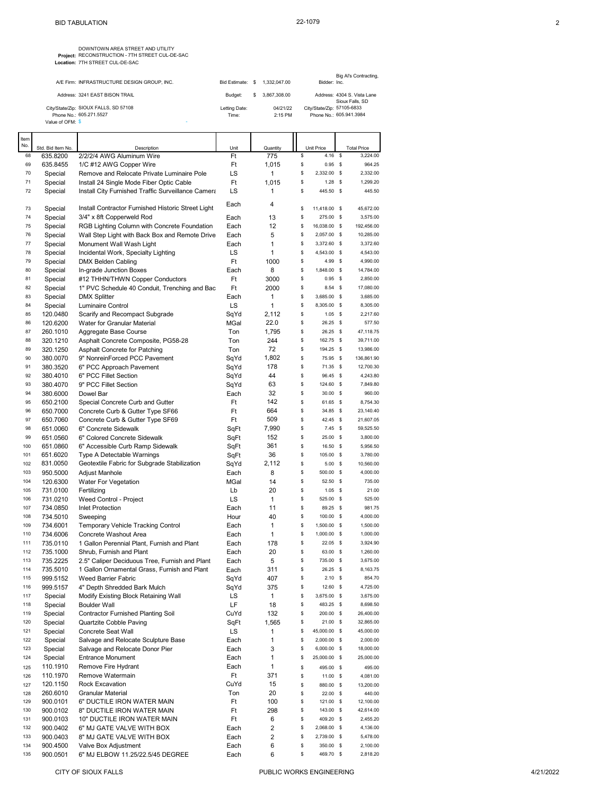| DOWNTOWN AREA STREET AND UTILITY                |
|-------------------------------------------------|
| Project: RECONSTRUCTION - 7TH STREET CUL-DE-SAC |
| Location: 7TH STREET CUL-DE-SAC                 |

|                  | A/F Firm: INFRASTRUCTURE DESIGN GROUP. INC. |               | Bid Estimate: \$ 1.332,047,00 | Bidder: Inc.               | Big Al's Contracting,                          |
|------------------|---------------------------------------------|---------------|-------------------------------|----------------------------|------------------------------------------------|
|                  | Address: 3241 EAST BISON TRAIL              | Budget:       | \$ 3.867,308.00               |                            | Address: 4304 S. Vista Lane<br>Sioux Falls, SD |
|                  | City/State/Zip: SIOUX FALLS, SD 57108       | Letting Date: | 04/21/22                      | City/State/Zip: 57105-6833 |                                                |
|                  | Phone No.: 605.271.5527                     | Time:         | $2:15$ PM                     |                            | Phone No.: 605.941.3984                        |
| Value of OFM: \$ |                                             |               |                               |                            |                                                |

| Item       |                      |                                                                                        |            |                    |          |                       |             |                      |
|------------|----------------------|----------------------------------------------------------------------------------------|------------|--------------------|----------|-----------------------|-------------|----------------------|
| No.        | Std. Bid Item No.    | Description                                                                            | Unit       | Quantity           |          | <b>Unit Price</b>     |             | <b>Total Price</b>   |
| 68         | 635.8200             | 2/2/2/4 AWG Aluminum Wire                                                              | Ft         | 775                | \$       | 4.16                  | \$          | 3,224.00             |
| 69         | 635.8455             | 1/C #12 AWG Copper Wire                                                                | Ft         | 1,015              | \$       | 0.95                  | - \$        | 964.25               |
| 70<br>71   | Special              | Remove and Relocate Private Luminaire Pole<br>Install 24 Single Mode Fiber Optic Cable | LS<br>Ft   | $\mathbf{1}$       | \$<br>\$ | 2,332.00<br>$1.28$ \$ | - \$        | 2,332.00<br>1,299.20 |
| 72         | Special<br>Special   | Install City Furnished Traffic Surveillance Camera                                     | LS         | 1,015<br>1         | \$       | 445.50 \$             |             | 445.50               |
|            |                      |                                                                                        |            |                    |          |                       |             |                      |
| 73         | Special              | Install Contractor Furnished Historic Street Light                                     | Each       | 4                  | \$       | 11,418.00             | s           | 45,672.00            |
| 74         | Special              | 3/4" x 8ft Copperweld Rod                                                              | Each       | 13                 | \$       | 275.00 \$             |             | 3,575.00             |
| 75         | Special              | RGB Lighting Column with Concrete Foundation                                           | Each       | 12                 | \$       | 16,038.00 \$          |             | 192,456.00           |
| 76         | Special              | Wall Step Light with Back Box and Remote Drive                                         | Each       | 5                  | \$       | 2,057.00 \$           |             | 10,285.00            |
| 77         | Special              | Monument Wall Wash Light                                                               | Each       | 1                  | \$       | 3,372.60 \$           |             | 3,372.60             |
| 78         | Special              | Incidental Work, Specialty Lighting                                                    | LS         | 1                  | \$       | 4,543.00 \$           |             | 4,543.00             |
| 79         | Special              | <b>DMX Belden Cabling</b>                                                              | Ft         | 1000               | \$       | 4.99                  | $\mathbf s$ | 4,990.00             |
| 80         | Special              | In-grade Junction Boxes                                                                | Each       | 8                  | \$       | 1,848.00 \$           |             | 14,784.00            |
| 81         | Special              | #12 THHN/THWN Copper Conductors                                                        | Ft         | 3000               | \$       | 0.95                  | - \$        | 2,850.00             |
| 82         | Special              | 1" PVC Schedule 40 Conduit, Trenching and Bac                                          | Ft         | 2000               | \$       | 8.54                  | - \$        | 17,080.00            |
| 83         | Special              | <b>DMX Splitter</b>                                                                    | Each       | 1                  | \$       | 3,685.00 \$           |             | 3,685.00             |
| 84         | Special              | Luminaire Control                                                                      | LS         | 1                  | \$       | 8,305.00 \$           |             | 8,305.00             |
| 85         | 120.0480             | Scarify and Recompact Subgrade                                                         | SqYd       | 2,112              | \$       | $1.05$ \$             |             | 2,217.60             |
| 86<br>87   | 120.6200             | Water for Granular Material                                                            | MGal       | 22.0               | \$<br>\$ | 26.25<br>26.25 \$     | - \$        | 577.50<br>47,118.75  |
| 88         | 260.1010<br>320.1210 | Aggregate Base Course                                                                  | Ton<br>Ton | 1,795<br>244       | \$       | 162.75 \$             |             | 39,711.00            |
| 89         | 320.1250             | Asphalt Concrete Composite, PG58-28<br>Asphalt Concrete for Patching                   | Ton        | 72                 | \$       | 194.25 \$             |             | 13,986.00            |
| 90         | 380.0070             | 9" NonreinForced PCC Pavement                                                          | SqYd       | 1,802              | \$       | 75.95 \$              |             | 136,861.90           |
| 91         | 380.3520             | 6" PCC Approach Pavement                                                               | SqYd       | 178                | \$       | 71.35 \$              |             | 12,700.30            |
| 92         | 380.4010             | 6" PCC Fillet Section                                                                  | SqYd       | 44                 | \$       | 96.45 \$              |             | 4,243.80             |
| 93         | 380.4070             | 9" PCC Fillet Section                                                                  | SqYd       | 63                 | \$       | 124.60 \$             |             | 7,849.80             |
| 94         | 380.6000             | Dowel Bar                                                                              | Each       | 32                 | \$       | $30.00$ \$            |             | 960.00               |
| 95         | 650.2100             | Special Concrete Curb and Gutter                                                       | Ft         | 142                | \$       | 61.65 \$              |             | 8,754.30             |
| 96         | 650.7000             | Concrete Curb & Gutter Type SF66                                                       | Ft         | 664                | \$       | 34.85 \$              |             | 23,140.40            |
| 97         | 650.7060             | Concrete Curb & Gutter Type SF69                                                       | Ft         | 509                | \$       | 42.45 \$              |             | 21,607.05            |
| 98         | 651.0060             | 6" Concrete Sidewalk                                                                   | SqFt       | 7,990              | \$       | $7.45$ \$             |             | 59,525.50            |
| 99         | 651.0560             | 6" Colored Concrete Sidewalk                                                           | SqFt       | 152                | \$       | 25.00 \$              |             | 3,800.00             |
| 100        | 651.0860             | 6" Accessible Curb Ramp Sidewalk                                                       | SqFt       | 361                | \$       | 16.50                 | - \$        | 5,956.50             |
| 101        | 651.6020             | Type A Detectable Warnings                                                             | SqFt       | 36                 | \$       | 105.00                | \$          | 3,780.00             |
| 102        | 831.0050             | Geotextile Fabric for Subgrade Stabilization                                           | SqYd       | 2,112              | \$       | 5.00%                 |             | 10,560.00            |
| 103        | 950.5000             | Adjust Manhole                                                                         | Each       | 8                  | \$       | 500.00 \$             |             | 4,000.00             |
| 104        | 120.6300             | Water For Vegetation                                                                   | MGal       | 14                 | \$       | 52.50 \$              |             | 735.00               |
| 105        | 731.0100             | Fertilizing                                                                            | Lb         | 20                 | \$       | $1.05$ \$             |             | 21.00                |
| 106<br>107 | 731.0210             | Weed Control - Project<br><b>Inlet Protection</b>                                      | LS<br>Each | $\mathbf{1}$<br>11 | \$<br>\$ | 525.00 \$<br>89.25 \$ |             | 525.00<br>981.75     |
| 108        | 734.0850<br>734.5010 | Sweeping                                                                               | Hour       | 40                 | \$       | 100.00                | - \$        | 4,000.00             |
| 109        | 734.6001             | Temporary Vehicle Tracking Control                                                     | Each       | 1                  | \$       | 1,500.00 \$           |             | 1,500.00             |
| 110        | 734.6006             | Concrete Washout Area                                                                  | Each       | 1                  | \$       | 1,000.00 \$           |             | 1,000.00             |
| 111        | 735.0110             | 1 Gallon Perennial Plant, Furnish and Plant                                            | Each       | 178                | \$       | $22.05$ \$            |             | 3,924.90             |
| 112        | 735.1000             | Shrub, Furnish and Plant                                                               | Each       | 20                 | \$       | 63.00                 | - \$        | 1,260.00             |
| 113        | 735.2225             | 2.5" Caliper Deciduous Tree, Furnish and Plant                                         | Each       | 5                  | \$       | 735.00 \$             |             | 3,675.00             |
| 114        | 735.5010             | 1 Gallon Ornamental Grass, Furnish and Plant                                           | Each       | 311                | \$       | 26.25 \$              |             | 8,163.75             |
| 115        | 999.5152             | Weed Barrier Fabric                                                                    | SqYd       | 407                | \$       | 2.10                  | S           | 854.70               |
| 116        | 999.5157             | 4" Depth Shredded Bark Mulch                                                           | SqYd       | 375                | \$       | 12.60 \$              |             | 4,725.00             |
| 117        | Special              | Modify Existing Block Retaining Wall                                                   | LS         | 1                  | \$       | 3,675.00 \$           |             | 3,675.00             |
| 118        | Special              | <b>Boulder Wall</b>                                                                    | LF         | 18                 | \$       | 483.25 \$             |             | 8,698.50             |
| 119        | Special              | Contractor Furnished Planting Soil                                                     | CuYd       | 132                | \$       | 200.00 \$             |             | 26,400.00            |
| 120        | Special              | Quartzite Cobble Paving                                                                | SqFt       | 1,565              | \$       | $21.00$ \$            |             | 32,865.00            |
| 121        | Special              | <b>Concrete Seat Wall</b>                                                              | LS         | 1                  | \$       | 45,000.00 \$          |             | 45,000.00            |
| 122        | Special              | Salvage and Relocate Sculpture Base                                                    | Each       | 1                  | \$       | 2,000.00 \$           |             | 2,000.00             |
| 123        | Special              | Salvage and Relocate Donor Pier                                                        | Each       | 3                  | \$       | 6,000.00 \$           |             | 18,000.00            |
| 124        | Special              | <b>Entrance Monument</b>                                                               | Each       | 1                  | \$       | 25,000.00 \$          |             | 25,000.00            |
| 125        | 110.1910<br>110.1970 | Remove Fire Hydrant<br>Remove Watermain                                                | Each<br>Ft | 1<br>371           | \$<br>\$ | 495.00 \$             |             | 495.00               |
| 126<br>127 | 120.1150             | Rock Excavation                                                                        | CuYd       | 15                 | \$       | $11.00$ \$            |             | 4,081.00             |
| 128        | 260.6010             | Granular Material                                                                      | Ton        | 20                 | \$       | 880.00 \$<br>22.00 \$ |             | 13,200.00<br>440.00  |
| 129        | 900.0101             | 6" DUCTILE IRON WATER MAIN                                                             | Ft         | 100                | \$       | 121.00 \$             |             | 12,100.00            |
| 130        | 900.0102             | 8" DUCTILE IRON WATER MAIN                                                             | Ft         | 298                | \$       | 143.00 \$             |             | 42,614.00            |
| 131        | 900.0103             | 10" DUCTILE IRON WATER MAIN                                                            | Ft         | 6                  | \$       | 409.20 \$             |             | 2,455.20             |
| 132        | 900.0402             | 6" MJ GATE VALVE WITH BOX                                                              | Each       | $\overline{2}$     | \$       | 2,068.00 \$           |             | 4,136.00             |
| 133        | 900.0403             | 8" MJ GATE VALVE WITH BOX                                                              | Each       | $\overline{2}$     | \$       | 2,739.00 \$           |             | 5,478.00             |
| 134        | 900.4500             | Valve Box Adjustment                                                                   | Each       | 6                  | \$       | 350.00 \$             |             | 2,100.00             |
| 135        | 900.0501             | 6" MJ ELBOW 11.25/22.5/45 DEGREE                                                       | Each       | 6                  | \$       | 469.70 \$             |             | 2,818.20             |